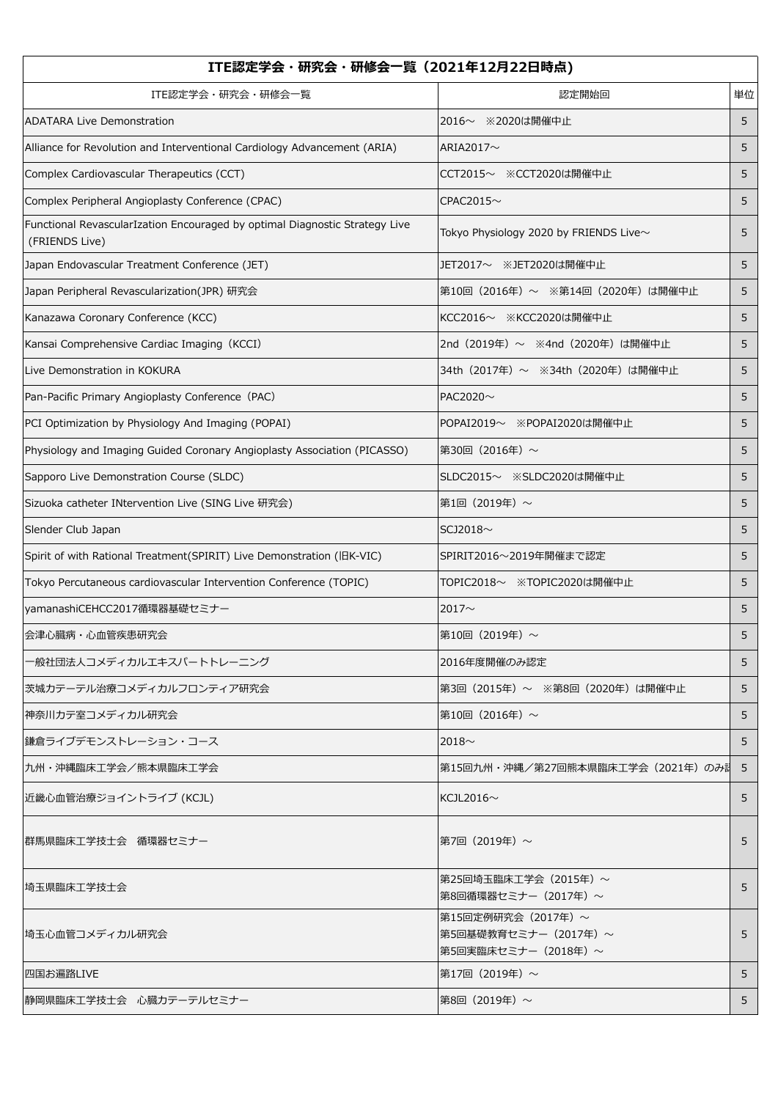| ITE認定学会・研究会・研修会一覧(2021年12月22日時点)                                                              |                                                                   |    |  |
|-----------------------------------------------------------------------------------------------|-------------------------------------------------------------------|----|--|
| ITE認定学会・研究会・研修会一覧                                                                             | 認定開始回                                                             | 単位 |  |
| <b>ADATARA Live Demonstration</b>                                                             | 2016~ ※2020は開催中止                                                  | 5  |  |
| Alliance for Revolution and Interventional Cardiology Advancement (ARIA)                      | ARIA2017 $\sim$                                                   | 5  |  |
| Complex Cardiovascular Therapeutics (CCT)                                                     | CCT2015~ ※CCT2020は開催中止                                            | 5  |  |
| Complex Peripheral Angioplasty Conference (CPAC)                                              | CPAC2015 $\sim$                                                   | 5  |  |
| Functional RevascularIzation Encouraged by optimal Diagnostic Strategy Live<br>(FRIENDS Live) | Tokyo Physiology 2020 by FRIENDS Live~                            | 5  |  |
| Japan Endovascular Treatment Conference (JET)                                                 | JET2017~ ※JET2020は開催中止                                            | 5  |  |
| Japan Peripheral Revascularization(JPR) 研究会                                                   | 第10回 (2016年) ~ ※第14回 (2020年) は開催中止                                | 5  |  |
| Kanazawa Coronary Conference (KCC)                                                            | KCC2016~ ※KCC2020は開催中止                                            | 5  |  |
| Kansai Comprehensive Cardiac Imaging (KCCI)                                                   | 2nd (2019年) ~ ※4nd (2020年) は開催中止                                  | 5  |  |
| Live Demonstration in KOKURA                                                                  | 34th (2017年) ~ ※34th (2020年) は開催中止                                | 5  |  |
| Pan-Pacific Primary Angioplasty Conference (PAC)                                              | PAC2020~                                                          | 5  |  |
| PCI Optimization by Physiology And Imaging (POPAI)                                            | POPAI2019~ ※POPAI2020は開催中止                                        | 5  |  |
| Physiology and Imaging Guided Coronary Angioplasty Association (PICASSO)                      | 第30回(2016年) $\sim$                                                | 5  |  |
| Sapporo Live Demonstration Course (SLDC)                                                      | SLDC2015~ ※SLDC2020は開催中止                                          | 5  |  |
| Sizuoka catheter INtervention Live (SING Live 研究会)                                            | 第1回 (2019年) ~                                                     | 5  |  |
| Slender Club Japan                                                                            | SCJ2018 $\sim$                                                    | 5  |  |
| Spirit of with Rational Treatment(SPIRIT) Live Demonstration (IBK-VIC)                        | SPIRIT2016~2019年開催まで認定                                            | 5  |  |
| Tokyo Percutaneous cardiovascular Intervention Conference (TOPIC)                             | TOPIC2018~ ※TOPIC2020は開催中止                                        | 5  |  |
| yamanashiCEHCC2017循環器基礎セミナー                                                                   | 2017 $\sim$                                                       | 5  |  |
| 会津心臓病・心血管疾患研究会                                                                                | 第10回(2019年) $\sim$                                                | 5  |  |
| -般社団法人コメディカルエキスパートトレーニング                                                                      | 2016年度開催のみ認定                                                      | 5  |  |
| 茨城カテーテル治療コメディカルフロンティア研究会                                                                      | 第3回 (2015年) ~ ※第8回 (2020年) は開催中止                                  | 5  |  |
| 神奈川カテ室コメディカル研究会                                                                               | 第10回 (2016年) ~                                                    | 5  |  |
| 鎌倉ライブデモンストレーション・コース                                                                           | 2018 $\sim$                                                       | 5  |  |
| 九州・沖縄臨床工学会/熊本県臨床工学会                                                                           | 第15回九州・沖縄/第27回熊本県臨床工学会(2021年)のみ記                                  | 5  |  |
| 近畿心血管治療ジョイントライブ (KCJL)                                                                        | KCJL2016 $\sim$                                                   | 5  |  |
| 群馬県臨床工学技士会 循環器セミナー                                                                            | 第7回(2019年)~                                                       | 5  |  |
| 埼玉県臨床工学技士会                                                                                    | 第25回埼玉臨床工学会(2015年)~<br>第8回循環器セミナー(2017年)~                         | 5  |  |
| 埼玉心血管コメディカル研究会                                                                                | 第15回定例研究会 (2017年) ~<br>第5回基礎教育セミナー (2017年)~<br>第5回実臨床セミナー(2018年)~ | 5  |  |
| 四国お遍路LIVE                                                                                     | 第17回 (2019年) ~                                                    | 5  |  |
| 静岡県臨床工学技士会 心臓カテーテルセミナー                                                                        | 第8回(2019年)~                                                       | 5  |  |